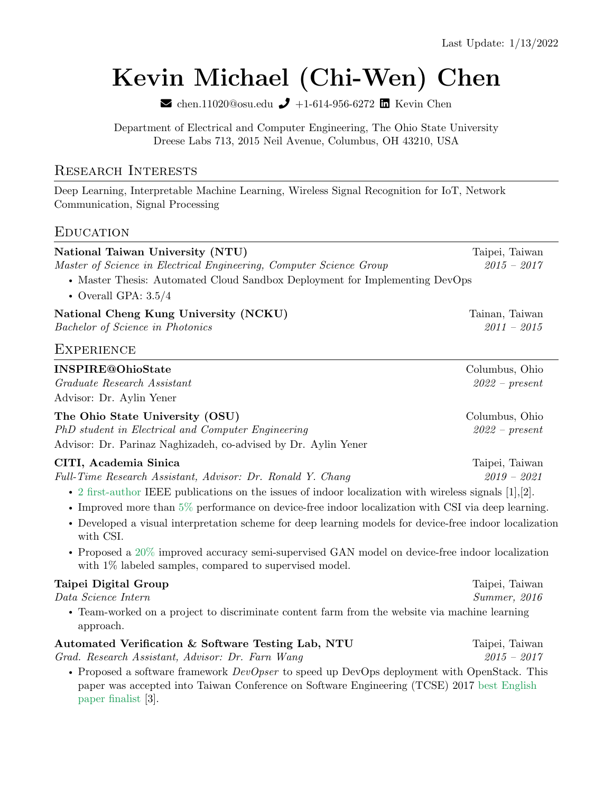# [Kevin Michael \(Chi-Wen\) Chen](https://aciculachen.github.io)

 $\blacktriangleright$ [chen.11020@osu.edu](mailto:chen.11020@osu.edu)  $\blacktriangleright$  +1-614-956-6272  $\blacksquare$  [Kevin Chen](https://www.linkedin.com/in/kevin-chen-704535125/)

Department of Electrical and Computer Engineering, The Ohio State University Dreese Labs 713, 2015 Neil Avenue, Columbus, OH 43210, USA

#### Research Interests

Deep Learning, Interpretable Machine Learning, Wireless Signal Recognition for IoT, Network Communication, Signal Processing

#### **EDUCATION**

| National Taiwan University (NTU)                                                                                                                                                            | Taipei, Taiwan   |
|---------------------------------------------------------------------------------------------------------------------------------------------------------------------------------------------|------------------|
| Master of Science in Electrical Engineering, Computer Science Group                                                                                                                         | $2015 - 2017$    |
| • Master Thesis: Automated Cloud Sandbox Deployment for Implementing DevOps                                                                                                                 |                  |
| • Overall GPA: $3.5/4$                                                                                                                                                                      |                  |
| National Cheng Kung University (NCKU)                                                                                                                                                       | Tainan, Taiwan   |
| <b>Bachelor of Science in Photonics</b>                                                                                                                                                     | $2011 - 2015$    |
| <b>EXPERIENCE</b>                                                                                                                                                                           |                  |
| <b>INSPIRE@OhioState</b>                                                                                                                                                                    | Columbus, Ohio   |
| Graduate Research Assistant                                                                                                                                                                 | $2022$ – present |
| Advisor: Dr. Aylin Yener                                                                                                                                                                    |                  |
| The Ohio State University (OSU)                                                                                                                                                             | Columbus, Ohio   |
| PhD student in Electrical and Computer Engineering                                                                                                                                          | $2022$ – present |
| Advisor: Dr. Parinaz Naghizadeh, co-advised by Dr. Aylin Yener                                                                                                                              |                  |
| CITI, Academia Sinica                                                                                                                                                                       | Taipei, Taiwan   |
| Full-Time Research Assistant, Advisor: Dr. Ronald Y. Chang                                                                                                                                  | $2019 - 2021$    |
| • 2 first-author IEEE publications on the issues of indoor localization with wireless signals $[1],[2]$ .                                                                                   |                  |
| • Improved more than $5\%$ performance on device-free indoor localization with CSI via deep learning.                                                                                       |                  |
| • Developed a visual interpretation scheme for deep learning models for device-free indoor localization<br>with CSI.                                                                        |                  |
| • Proposed a $20\%$ improved accuracy semi-supervised GAN model on device-free indoor localization<br>with $1\%$ labeled samples, compared to supervised model.                             |                  |
| Taipei Digital Group                                                                                                                                                                        | Taipei, Taiwan   |
| Data Science Intern                                                                                                                                                                         | Summer, 2016     |
| • Team-worked on a project to discriminate content farm from the website via machine learning<br>approach.                                                                                  |                  |
| Automated Verification & Software Testing Lab, NTU                                                                                                                                          | Taipei, Taiwan   |
| Grad. Research Assistant, Advisor: Dr. Farn Wang                                                                                                                                            | $2015 - 2017$    |
| • Proposed a software framework $DevOpser$ to speed up DevOps deployment with OpenStack. This<br>paper was accepted into Taiwan Conference on Software Engineering (TCSE) 2017 best English |                  |

paper finalist [3].